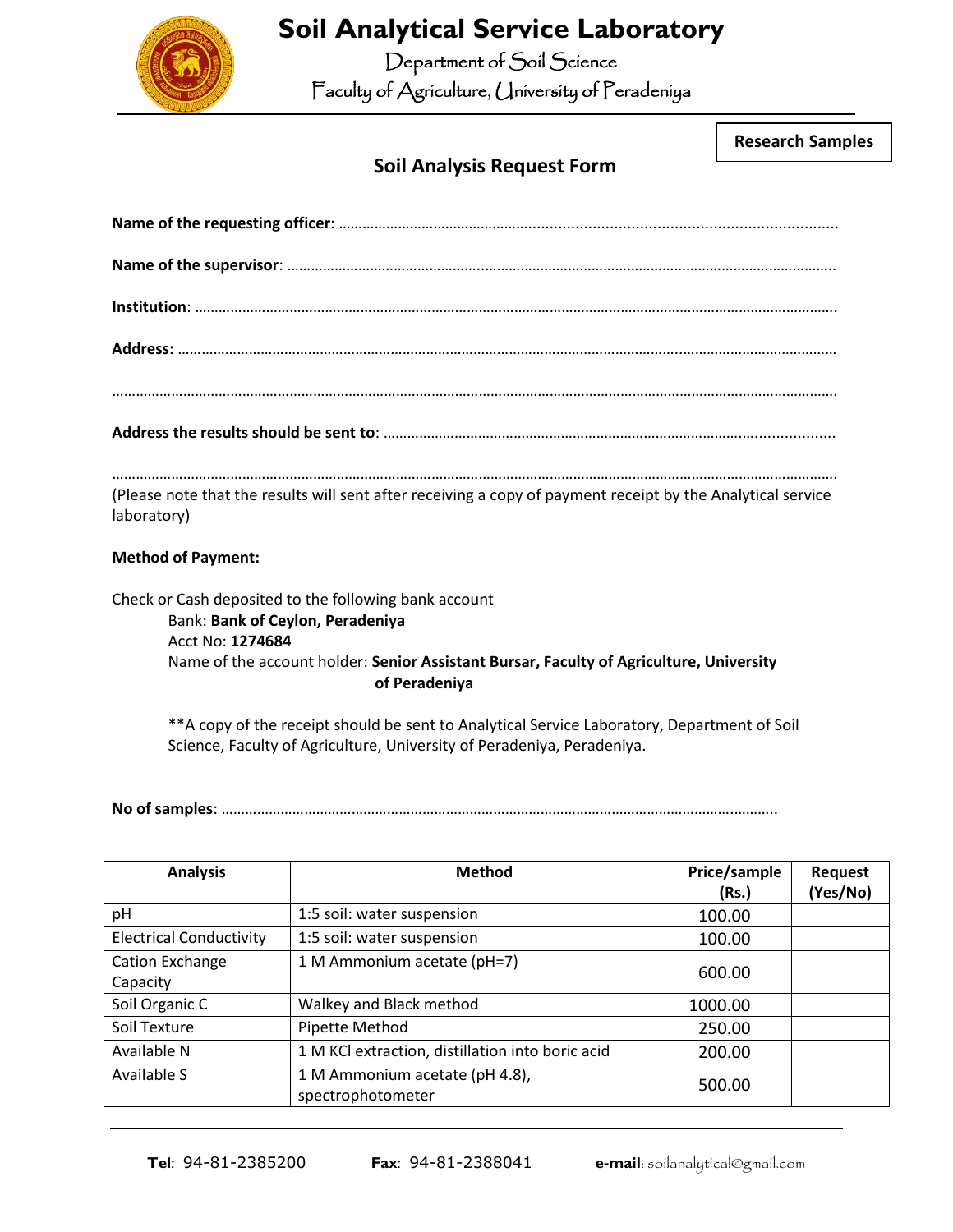

## **Soil Analytical Service Laboratory**

Department of Soil Science

Faculty of Agriculture, University of Peradeniya

**Research Samples**

## **Soil Analysis Request Form**

| (Please note that the results will sent after receiving a copy of payment receipt by the Analytical service<br>laboratory)                                                                                                |
|---------------------------------------------------------------------------------------------------------------------------------------------------------------------------------------------------------------------------|
| <b>Method of Payment:</b>                                                                                                                                                                                                 |
| Check or Cash deposited to the following bank account<br>Bank: Bank of Ceylon, Peradeniya<br>Acct No: 1274684<br>Name of the account holder: Senior Assistant Bursar, Faculty of Agriculture, University<br>of Peradeniya |
| ** A copy of the receipt should be sent to Analytical Service Laboratory, Department of Soil                                                                                                                              |

Science, Faculty of Agriculture, University of Peradeniya, Peradeniya.

**No of samples**: ………………………………………………………………………………………………………………….………..

| <b>Analysis</b>                | <b>Method</b>                                    | Price/sample | <b>Request</b> |
|--------------------------------|--------------------------------------------------|--------------|----------------|
|                                |                                                  | (Rs.)        | (Yes/No)       |
| рH                             | 1:5 soil: water suspension                       | 100.00       |                |
| <b>Electrical Conductivity</b> | 1:5 soil: water suspension                       | 100.00       |                |
| Cation Exchange                | 1 M Ammonium acetate (pH=7)                      | 600.00       |                |
| Capacity                       |                                                  |              |                |
| Soil Organic C                 | Walkey and Black method                          | 1000.00      |                |
| Soil Texture                   | Pipette Method                                   | 250.00       |                |
| Available N                    | 1 M KCl extraction, distillation into boric acid | 200.00       |                |
| Available S                    | 1 M Ammonium acetate (pH 4.8),                   |              |                |
|                                | spectrophotometer                                | 500.00       |                |